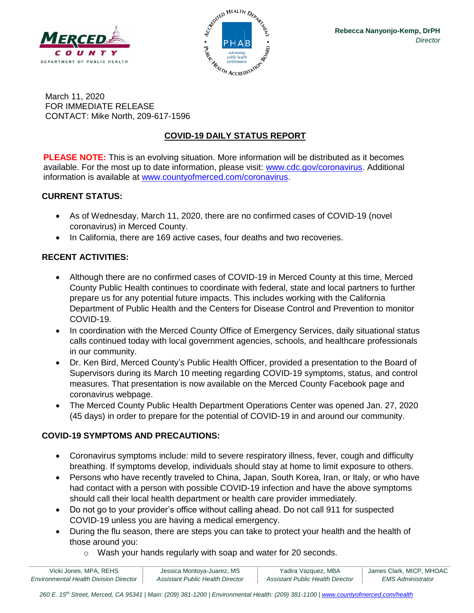



March 11, 2020 FOR IMMEDIATE RELEASE CONTACT: Mike North, 209-617-1596

# **COVID-19 DAILY STATUS REPORT**

**PLEASE NOTE:** This is an evolving situation. More information will be distributed as it becomes available. For the most up to date information, please visit: [www.cdc.gov/coronavirus.](http://www.cdc.gov/coronavirus) Additional information is available at [www.countyofmerced.com/coronavirus.](http://www.countyofmerced.com/coronavirus)

#### **CURRENT STATUS:**

- As of Wednesday, March 11, 2020, there are no confirmed cases of COVID-19 (novel coronavirus) in Merced County.
- In California, there are 169 active cases, four deaths and two recoveries.

## **RECENT ACTIVITIES:**

- Although there are no confirmed cases of COVID-19 in Merced County at this time, Merced County Public Health continues to coordinate with federal, state and local partners to further prepare us for any potential future impacts. This includes working with the California Department of Public Health and the Centers for Disease Control and Prevention to monitor COVID-19.
- In coordination with the Merced County Office of Emergency Services, daily situational status calls continued today with local government agencies, schools, and healthcare professionals in our community.
- Dr. Ken Bird, Merced County's Public Health Officer, provided a presentation to the Board of Supervisors during its March 10 meeting regarding COVID-19 symptoms, status, and control measures. That presentation is now available on the Merced County Facebook page and coronavirus webpage.
- The Merced County Public Health Department Operations Center was opened Jan. 27, 2020 (45 days) in order to prepare for the potential of COVID-19 in and around our community.

## **COVID-19 SYMPTOMS AND PRECAUTIONS:**

- Coronavirus symptoms include: mild to severe respiratory illness, fever, cough and difficulty breathing. If symptoms develop, individuals should stay at home to limit exposure to others.
- Persons who have recently traveled to China, Japan, South Korea, Iran, or Italy, or who have had contact with a person with possible COVID-19 infection and have the above symptoms should call their local health department or health care provider immediately.
- Do not go to your provider's office without calling ahead. Do not call 911 for suspected COVID-19 unless you are having a medical emergency.
- During the flu season, there are steps you can take to protect your health and the health of those around you:
	- o Wash your hands regularly with soap and water for 20 seconds.

| Vicki Jones, MPA, REHS                        | Jessica Montoya-Juarez, MS       | Yadira Vazquez, MBA              | James Clark, MICP, MHOAC |
|-----------------------------------------------|----------------------------------|----------------------------------|--------------------------|
| <b>Environmental Health Division Director</b> | Assistant Public Health Director | Assistant Public Health Director | EMS Administrator        |